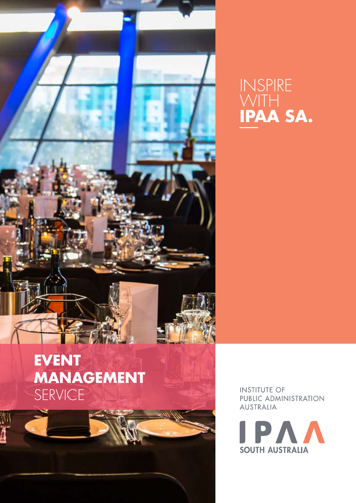

## INSPIRE WITH **IPAA SA.**

**INSTITUTE OF** PUBLIC ADMINISTRATION **AUSTRALIA** 

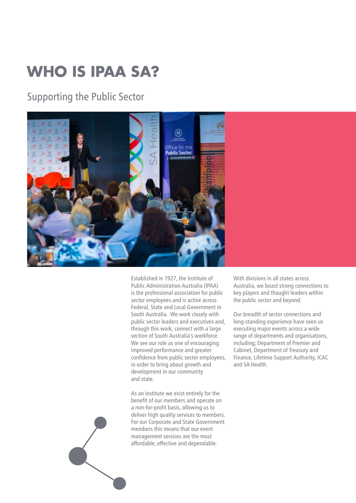# **WHO IS IPAA SA?**

## Supporting the Public Sector



Established in 1927, the Institute of Public Administration Australia (IPAA) is the professional association for public sector employees and is active across Federal, State and Local Government in South Australia. We work closely with public sector leaders and executives and, through this work, connect with a large section of South Australia's workforce. We see our role as one of encouraging improved performance and greater confidence from public sector employees, in order to bring about growth and development in our community and state.

As an institute we exist entirely for the benefit of our members and operate on a non-for-profit basis, allowing us to deliver high quality services to members. For our Corporate and State Government members this means that our event management services are the most affordable, effective and dependable.

With divisions in all states across Australia, we boast strong connections to key players and thought leaders within the public sector and beyond.

Our breadth of sector connections and long-standing experience have seen us executing major events across a wide range of departments and organisations, including; Department of Premier and Cabinet, Department of Treasury and Finance, Lifetime Support Authority, ICAC and SA Health.

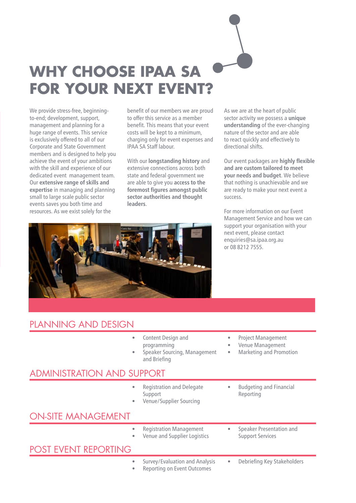

We provide stress-free, beginningto-end; development, support, management and planning for a huge range of events. This service is exclusively offered to all of our Corporate and State Government members and is designed to help you achieve the event of your ambitions with the skill and experience of our dedicated event management team. Our **extensive range of skills and expertise** in managing and planning small to large scale public sector events saves you both time and resources. As we exist solely for the

benefit of our members we are proud to offer this service as a member benefit. This means that your event costs will be kept to a minimum, charging only for event expenses and IPAA SA Staff labour.

With our **longstanding history** and extensive connections across both state and federal government we are able to give you **access to the foremost figures amongst public sector authorities and thought leaders**.

As we are at the heart of public sector activity we possess a **unique understanding** of the ever-changing nature of the sector and are able to react quickly and effectively to directional shifts.

Our event packages are **highly flexible and are custom tailored to meet your needs and budget**. We believe that nothing is unachievable and we are ready to make your next event a success.

For more information on our Event Management Service and how we can support your organisation with your next event, please contact enquiries@sa.ipaa.org.au or 08 8212 7555.



### PLANNING AND DESIGN

| ۰<br>۰                            | Content Design and<br>programming<br>Speaker Sourcing, Management<br>and Briefing | ۰<br>$\bullet$ | <b>Project Management</b><br>Venue Management<br>Marketing and Promotion |
|-----------------------------------|-----------------------------------------------------------------------------------|----------------|--------------------------------------------------------------------------|
| <b>ADMINISTRATION AND SUPPORT</b> |                                                                                   |                |                                                                          |
|                                   | <b>Registration and Delegate</b><br>Support<br>Venue/Supplier Sourcing            |                | <b>Budgeting and Financial</b><br>Reporting                              |
| <b>ON-SITE MANAGEMENT</b>         |                                                                                   |                |                                                                          |
| $\bullet$                         | <b>Registration Management</b><br>Venue and Supplier Logistics                    |                | Speaker Presentation and<br><b>Support Services</b>                      |
| <b>POST EVENT REPORTING</b>       |                                                                                   |                |                                                                          |
| ۰                                 | Survey/Evaluation and Analysis<br>Reporting on Event Outcomes                     | ۰              | Debriefing Key Stakeholders                                              |